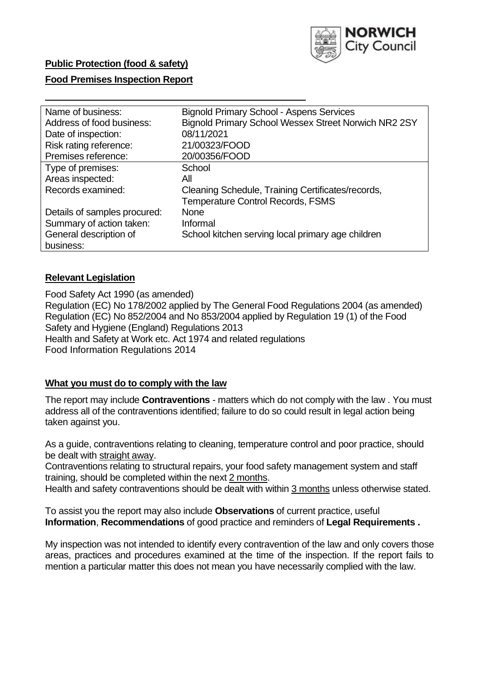

# **Public Protection (food & safety)**

## **Food Premises Inspection Report**

| Name of business:            | <b>Bignold Primary School - Aspens Services</b>      |
|------------------------------|------------------------------------------------------|
| Address of food business:    | Bignold Primary School Wessex Street Norwich NR2 2SY |
| Date of inspection:          | 08/11/2021                                           |
| Risk rating reference:       | 21/00323/FOOD                                        |
| Premises reference:          | 20/00356/FOOD                                        |
| Type of premises:            | School                                               |
| Areas inspected:             | All                                                  |
| Records examined:            | Cleaning Schedule, Training Certificates/records,    |
|                              | <b>Temperature Control Records, FSMS</b>             |
| Details of samples procured: | <b>None</b>                                          |
| Summary of action taken:     | Informal                                             |
| General description of       | School kitchen serving local primary age children    |
| business:                    |                                                      |

## **Relevant Legislation**

 Food Safety Act 1990 (as amended) Regulation (EC) No 178/2002 applied by The General Food Regulations 2004 (as amended) Regulation (EC) No 852/2004 and No 853/2004 applied by Regulation 19 (1) of the Food Safety and Hygiene (England) Regulations 2013 Health and Safety at Work etc. Act 1974 and related regulations Food Information Regulations 2014

## **What you must do to comply with the law**

 The report may include **Contraventions** - matters which do not comply with the law . You must address all of the contraventions identified; failure to do so could result in legal action being taken against you.

 As a guide, contraventions relating to cleaning, temperature control and poor practice, should be dealt with straight away.

 Contraventions relating to structural repairs, your food safety management system and staff training, should be completed within the next 2 months.

Health and safety contraventions should be dealt with within 3 months unless otherwise stated.

 To assist you the report may also include **Observations** of current practice, useful **Information**, **Recommendations** of good practice and reminders of **Legal Requirements .** 

 My inspection was not intended to identify every contravention of the law and only covers those areas, practices and procedures examined at the time of the inspection. If the report fails to mention a particular matter this does not mean you have necessarily complied with the law.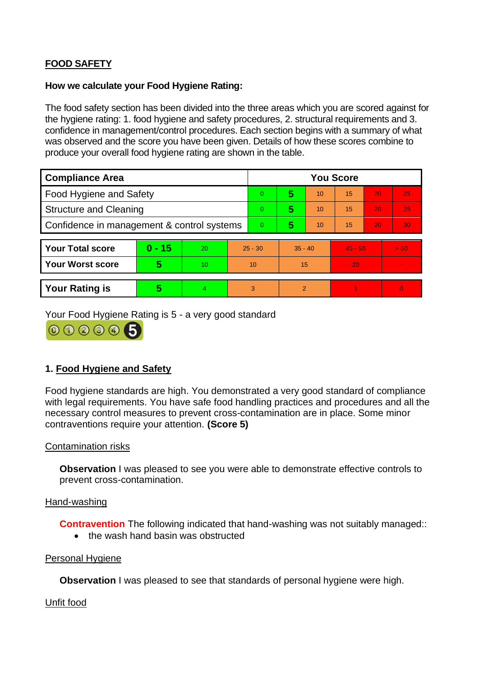# **FOOD SAFETY**

## **How we calculate your Food Hygiene Rating:**

 The food safety section has been divided into the three areas which you are scored against for the hygiene rating: 1. food hygiene and safety procedures, 2. structural requirements and 3. confidence in management/control procedures. Each section begins with a summary of what was observed and the score you have been given. Details of how these scores combine to produce your overall food hygiene rating are shown in the table.

| <b>Compliance Area</b>                     |          |           |           | <b>You Score</b> |           |                |           |    |                |  |  |
|--------------------------------------------|----------|-----------|-----------|------------------|-----------|----------------|-----------|----|----------------|--|--|
| <b>Food Hygiene and Safety</b>             |          |           |           | $\overline{0}$   | 5         | 10             | 15        | 20 | 25             |  |  |
| <b>Structure and Cleaning</b>              |          |           | $\Omega$  | 5                | 10        | 15             | 20        | 25 |                |  |  |
| Confidence in management & control systems |          |           | $\Omega$  | 5                | 10        | 15             | 20        | 30 |                |  |  |
|                                            |          |           |           |                  |           |                |           |    |                |  |  |
| <b>Your Total score</b>                    | $0 - 15$ | <b>20</b> | $25 - 30$ |                  | $35 - 40$ |                | $45 - 50$ |    | > 50           |  |  |
| <b>Your Worst score</b>                    | 5        | 10        | 10        |                  | 15        |                | 20        |    | $\blacksquare$ |  |  |
|                                            |          |           |           |                  |           |                |           |    |                |  |  |
| <b>Your Rating is</b>                      | 5        | 4.        |           | 3                |           | $\overline{2}$ |           |    | $\overline{0}$ |  |  |

Your Food Hygiene Rating is 5 - a very good standard



# **1. Food Hygiene and Safety**

 with legal requirements. You have safe food handling practices and procedures and all the Food hygiene standards are high. You demonstrated a very good standard of compliance necessary control measures to prevent cross-contamination are in place. Some minor contraventions require your attention. **(Score 5)** 

## Contamination risks

**Observation** I was pleased to see you were able to demonstrate effective controls to prevent cross-contamination.

#### Hand-washing

**Contravention** The following indicated that hand-washing was not suitably managed:

• the wash hand basin was obstructed

## Personal Hygiene

**Observation** I was pleased to see that standards of personal hygiene were high.

#### Unfit food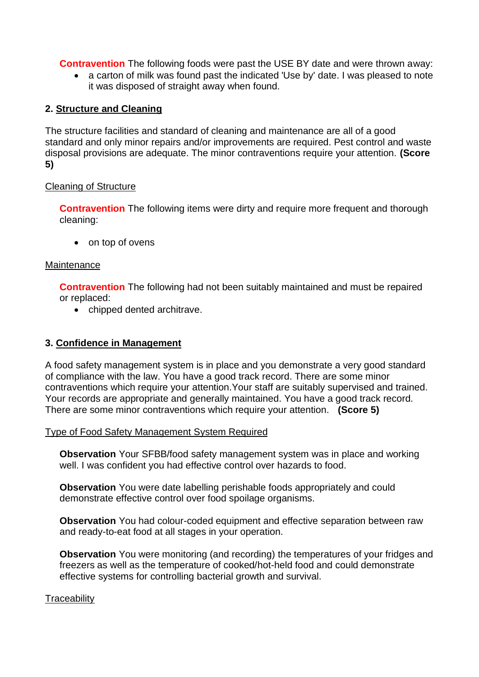**Contravention** The following foods were past the USE BY date and were thrown away:

• a carton of milk was found past the indicated 'Use by' date. I was pleased to note it was disposed of straight away when found.

## **2. Structure and Cleaning**

The structure facilities and standard of cleaning and maintenance are all of a good standard and only minor repairs and/or improvements are required. Pest control and waste disposal provisions are adequate. The minor contraventions require your attention. **(Score 5)** 

## Cleaning of Structure

**Contravention** The following items were dirty and require more frequent and thorough cleaning:

• on top of ovens

### **Maintenance**

**Contravention** The following had not been suitably maintained and must be repaired or replaced:

• chipped dented architrave.

## **3. Confidence in Management**

 of compliance with the law. You have a good track record. There are some minor Your records are appropriate and generally maintained. You have a good track record. A food safety management system is in place and you demonstrate a very good standard contraventions which require your attention.Your staff are suitably supervised and trained. There are some minor contraventions which require your attention. **(Score 5)** 

#### Type of Food Safety Management System Required

**Observation** Your SFBB/food safety management system was in place and working well. I was confident you had effective control over hazards to food.

**Observation** You were date labelling perishable foods appropriately and could demonstrate effective control over food spoilage organisms.

**Observation** You had colour-coded equipment and effective separation between raw and ready-to-eat food at all stages in your operation.

 **Observation** You were monitoring (and recording) the temperatures of your fridges and freezers as well as the temperature of cooked/hot-held food and could demonstrate effective systems for controlling bacterial growth and survival.

## **Traceability**